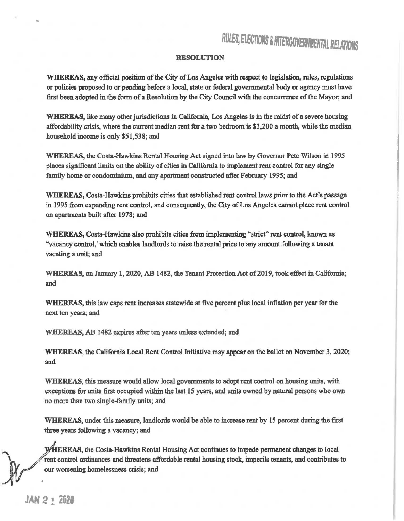## RULES, ELECTIONS & INTERGOVERNMENTAL RELATIONS

## RESOLUTION

WHEREAS, any official position of the City of Los Angeles with respect to legislation, rules, regulations or policies proposed to or pending before a local, state or federal governmental body or agency must have first been adopted in the form of a Resolution by the City Council with the concurrence of the Mayor; and

WHEREAS, like many other jurisdictions in California, Los Angeles is in the midst of a severe housing affordability crisis, where the current median rent for a two bedroom is \$3,200 a month, while the median household income is only \$51,538; and

WHEREAS, the Costa-Hawkins Rental Housing Act signed into law by Governor Pete Wilson in *1995*  places significant limits on the ability of cities in California to implement rent control for any single family home or condominium, and any apartment constructed after February 1995; and

WHEREAS, Costa-Hawkins prohibits cities that established rent control laws prior to the Act's passage in 1995 from expanding rent control, and consequently, the City of Los Angeles cannot place rent control on apartments built after 1978; and

WHEREAS, Costa-Hawkins also prohibits cities from implementing "strict" rent control, known as "vacancy control,' which enables landlords to raise the rental price to any amount following a tenant vacating a unit; and

WHEREAS, on January 1, 2020, AB 1482, the Tenant Protection Act of 2019, took effect in California; and

WHEREAS, this law caps rent increases statewide at five percent plus local inflation per year for the next ten years; and

WHEREAS, AB 1482 expires after ten years unless extended; and

WHEREAS, the California Local Rent Control Initiative may appear on the ballot on November 3, 2020; and

WHEREAS, this measure would allow local governments to adopt rent control on housing units, with exceptions for units first occupied within the last 15 years, and units owned by natural persons who own no more than two single-family units; and

WHEREAS, under this measure, landlords would be able to increase rent by 15 percent during the first three years following a vacancy; and

WHEREAS, the Costa-Hawkins Rental Housing Act continues to impede permanent changes to local rent control ordinances and threatens affordable rental housing stock, imperils tenants, and contributes to our worsening homelessness crisis; and

•

..